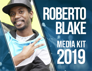# **ROBERTO BLAKE**

**MEDIA KIT 2019**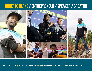# **ROBERTO BLAKE / ENTREPRENEUR / SPEAKER / CREATOR**

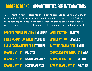#### **ROBERTO BLAKE | OPPORTUNITIES FOR INTEGRATIONS**

As a content creator, Roberto has built a strong presence online with a variety of formats that offer opportunities for brand integrations. Listed you will find some of the best opportunities to partner with Roberto around content that resonates with the audience he has built among creators, entrepreneurs and professionals.

**PRODUCT/BRAND MENTION |YOUTUBE FULL BRAND INTEGRATION |YOUTUBE EVENT/ACTIVATION VIDEO |YOUTUBE BRAND MENTION |PODCAST BRAND MENTION | INSTAGRAM STORY BRAND MENTION | INSTAGRAM POST AMPLIFICATION |TWITTER AMPLIFICATION |EMAIL LIST MEET-UP/ACTIVATION |EVENT SPONSORED PRESENTATION|EVENT SPONSORED ARTICLE |LINKEDIN LIVE STREAM MENTION |YOUTUBE**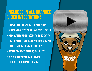# Included in all branded Video integrations

- Human closed captions from rev.com
- Social media post and brand amplification
- High quality video production and editing
- high quality thumbnails and photography
- Call to action link in description
- Feature in newsletter to email list
- Optional: audio podcast insert
- Optional: additional licensing

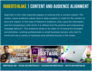# **ROBERTO BLAKE | CONTENT AND AUDIENCE ALIGNMENT**

Alignment is the most important aspect of working with a content creator. The creator, brand audience values have to align properly in order for the content to have any impact. In the case of Roberto's audience, they value the information and the transparency with which it is offered and the positive and empowering message behind it. This audience tends to be older 24-44 being the strongest concentration, working professionals or small business owners, who tend to travel and use a variety of hardware and software brands in the career.

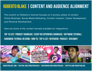# **ROBERTO BLAKE | CONTENT AND AUDIENCE ALIGNMENT**

The content on Roberto's channel focuses on 5 primary pillars of content: Online Business, Social Media Marketing, Content Creation, Career Development, and Personal Development.

Here are some of the content formats available for integrations:

Top 10 list/ product showcase/ event or experience showcase/ software tutorial/ hardware tutorial or demo/ how to/ top 5 list/ interview/ podcast/ giveaway/

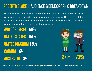# **ROBERTO BLAKE | AUDIENCE & DEMOGRAPHIC BREAKDOWN**

Understanding the audience is a priority so that the content can provide them value and is likely to lead to engagement and conversions. Here is a breakdown of the audience that consumes Roberto's content on YouTube. This information can be requested for any other platform as well.

**AVG AGE 18-34 |68% UNITED STATES |64% UNITED KINGDOM |8% CANADA |6% AUSTRALIA |3% 27% 73%**

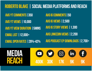#### **ROBERTO BLAKE | SOCIAL MEDIA PLATFORMS AND REACH**

**AVG YT COMMENTS|350 AVG YT VIEWS |10,000 AVG YT VIEW DURATION |5MINS EMAIL LIST |12,000+ EMAIL OPEN RATES |28%-42%**

**AVG IG COMMENTS|50 AVG IG VIEWS |2,500 AVG IG STORY VIEWS | 1,300 AVG LINKEDIN VIEWS |2,200 AVG PODCAST EP DOWNLOADS |2,700+**

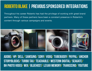#### **ROBERTO BLAKE | PREVIOUS SPONSORED INTEGRATIONS**

Throughout his career Roberto has had the privilege of working with great brand partners. Many of these partners have been a constant presence in Roberto's content through various campaigns and events.



Adobe/ hp/ dell/ samsung/ Sony/ vidiq/ tubebuddy/ paypal/ anchor storyblocks/ turbo tax/ teachable/ western digital/ Seagate/ bh photo video/ wix/ bluehost/ lexar memory/ transcend/ YouTube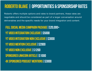#### **ROBERTO BLAKE | OPPORTUNITIES & SPONSORSHIP RATES**

Roberto offers multiple options and rates to brand partners, these rates are negotiable and should be considered as part of a larger conversation around deliverables and the specific needs for your brand integration and content.

**FULL SOCIAL MEDIA CAMPAIGN PACKAGE|\$20,000+ YT VIDEO INTEGRATION EXCLUSIVE | \$5000 YT VIDEO INTEGRATION NON EXCLUSIVE | \$3000 YT VIDEO MENTION EXCLUSIVE | \$2000 YT VIDEO NON EXCLUSIVE | \$1200 SPONSORED LINKEDIN ARTICLE|\$1000 4X SPONSORED PODCAST MENTIONS | \$3000**